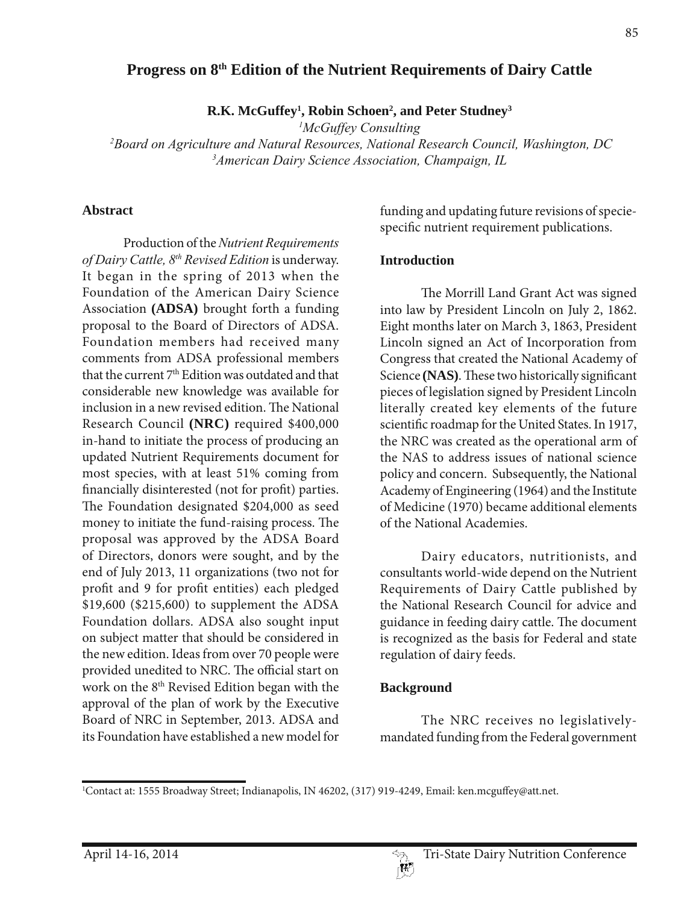## **Progress on 8th Edition of the Nutrient Requirements of Dairy Cattle**

**R.K. McGuffey1 , Robin Schoen2 , and Peter Studney3**

*1 McGuffey Consulting*

*2 Board on Agriculture and Natural Resources, National Research Council, Washington, DC 3 American Dairy Science Association, Champaign, IL*

#### **Abstract**

Production of the *Nutrient Requirements of Dairy Cattle, 8th Revised Edition* is underway. It began in the spring of 2013 when the Foundation of the American Dairy Science Association **(ADSA)** brought forth a funding proposal to the Board of Directors of ADSA. Foundation members had received many comments from ADSA professional members that the current 7<sup>th</sup> Edition was outdated and that considerable new knowledge was available for inclusion in a new revised edition. The National Research Council **(NRC)** required \$400,000 in-hand to initiate the process of producing an updated Nutrient Requirements document for most species, with at least 51% coming from financially disinterested (not for profit) parties. The Foundation designated \$204,000 as seed money to initiate the fund-raising process. The proposal was approved by the ADSA Board of Directors, donors were sought, and by the end of July 2013, 11 organizations (two not for profit and 9 for profit entities) each pledged \$19,600 (\$215,600) to supplement the ADSA Foundation dollars. ADSA also sought input on subject matter that should be considered in the new edition. Ideas from over 70 people were provided unedited to NRC. The official start on work on the 8th Revised Edition began with the approval of the plan of work by the Executive Board of NRC in September, 2013. ADSA and its Foundation have established a new model for

funding and updating future revisions of speciespecific nutrient requirement publications.

#### **Introduction**

The Morrill Land Grant Act was signed into law by President Lincoln on July 2, 1862. Eight months later on March 3, 1863, President Lincoln signed an Act of Incorporation from Congress that created the National Academy of Science **(NAS)**. These two historically significant pieces of legislation signed by President Lincoln literally created key elements of the future scientific roadmap for the United States. In 1917, the NRC was created as the operational arm of the NAS to address issues of national science policy and concern. Subsequently, the National Academy of Engineering (1964) and the Institute of Medicine (1970) became additional elements of the National Academies.

Dairy educators, nutritionists, and consultants world-wide depend on the Nutrient Requirements of Dairy Cattle published by the National Research Council for advice and guidance in feeding dairy cattle. The document is recognized as the basis for Federal and state regulation of dairy feeds.

#### **Background**

The NRC receives no legislativelymandated funding from the Federal government

<sup>1</sup> Contact at: 1555 Broadway Street; Indianapolis, IN 46202, (317) 919-4249, Email: ken.mcguffey@att.net.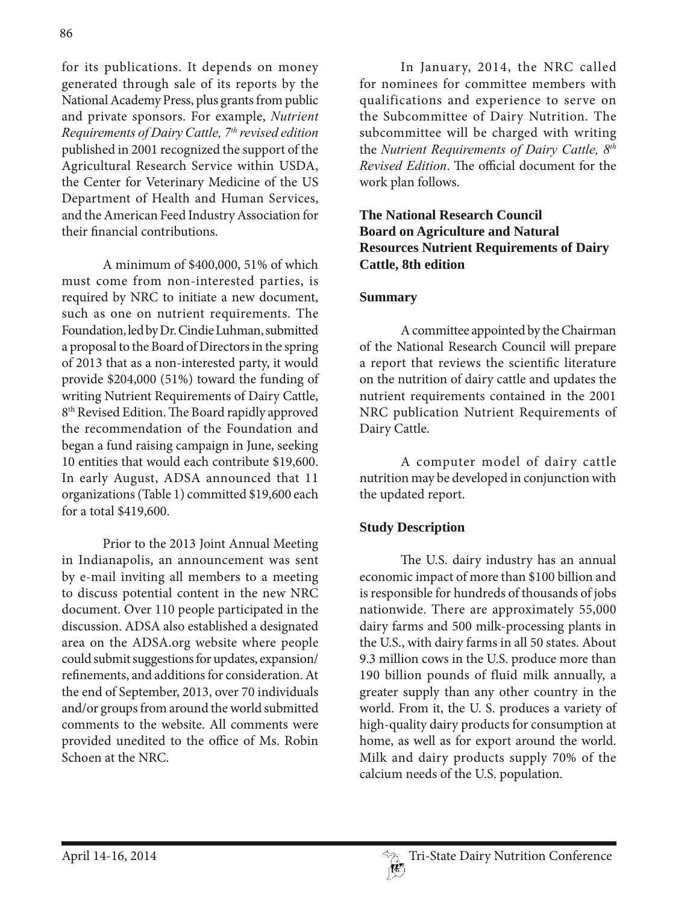for its publications. It depends on money generated through sale of its reports by the National Academy Press, plus grants from public and private sponsors. For example, *Nutrient Requirements of Dairy Cattle, 7th revised edition* published in 2001 recognized the support of the Agricultural Research Service within USDA, the Center for Veterinary Medicine of the US Department of Health and Human Services, and the American Feed Industry Association for their financial contributions.

A minimum of \$400,000, 51% of which must come from non-interested parties, is required by NRC to initiate a new document, such as one on nutrient requirements. The Foundation, led by Dr. Cindie Luhman, submitted a proposal to the Board of Directors in the spring of 2013 that as a non-interested party, it would provide \$204,000 (51%) toward the funding of writing Nutrient Requirements of Dairy Cattle, 8<sup>th</sup> Revised Edition. The Board rapidly approved the recommendation of the Foundation and began a fund raising campaign in June, seeking 10 entities that would each contribute \$19,600. In early August, ADSA announced that 11 organizations (Table 1) committed \$19,600 each for a total \$419,600.

Prior to the 2013 Joint Annual Meeting in Indianapolis, an announcement was sent by e-mail inviting all members to a meeting to discuss potential content in the new NRC document. Over 110 people participated in the discussion. ADSA also established a designated area on the ADSA.org website where people could submit suggestions for updates, expansion/ refinements, and additions for consideration. At the end of September, 2013, over 70 individuals and/or groups from around the world submitted comments to the website. All comments were provided unedited to the office of Ms. Robin Schoen at the NRC.

In January, 2014, the NRC called for nominees for committee members with qualifications and experience to serve on the Subcommittee of Dairy Nutrition. The subcommittee will be charged with writing the *Nutrient Requirements of Dairy Cattle, 8th Revised Edition*. The official document for the work plan follows.

## **The National Research Council Board on Agriculture and Natural Resources Nutrient Requirements of Dairy Cattle, 8th edition**

#### **Summary**

A committee appointed by the Chairman of the National Research Council will prepare a report that reviews the scientific literature on the nutrition of dairy cattle and updates the nutrient requirements contained in the 2001 NRC publication Nutrient Requirements of Dairy Cattle.

A computer model of dairy cattle nutrition may be developed in conjunction with the updated report.

## **Study Description**

The U.S. dairy industry has an annual economic impact of more than \$100 billion and is responsible for hundreds of thousands of jobs nationwide. There are approximately 55,000 dairy farms and 500 milk-processing plants in the U.S., with dairy farms in all 50 states. About 9.3 million cows in the U.S. produce more than 190 billion pounds of fluid milk annually, a greater supply than any other country in the world. From it, the U. S. produces a variety of high-quality dairy products for consumption at home, as well as for export around the world. Milk and dairy products supply 70% of the calcium needs of the U.S. population.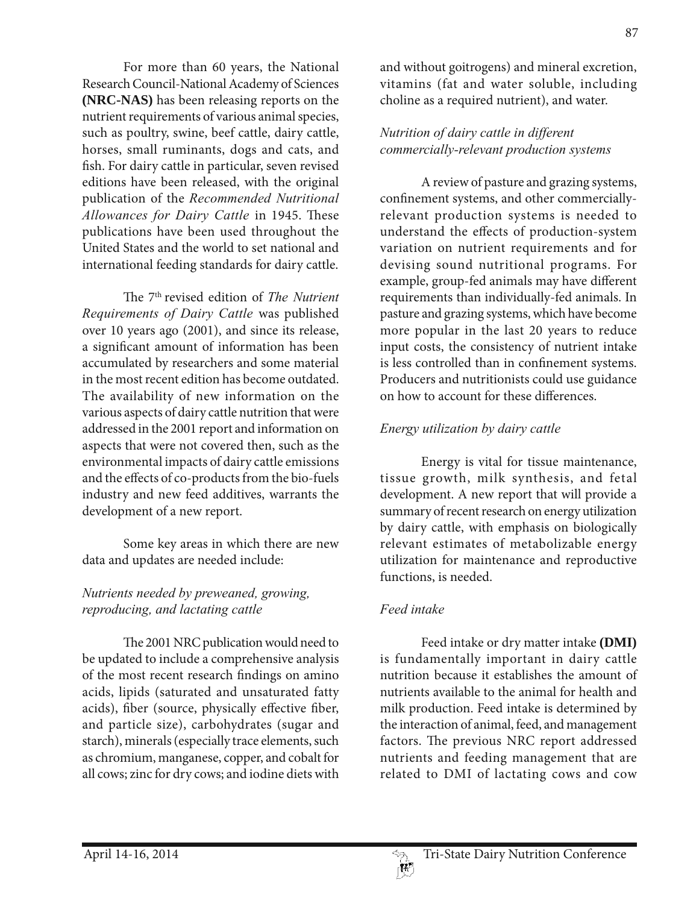For more than 60 years, the National Research Council-National Academy of Sciences **(NRC-NAS)** has been releasing reports on the nutrient requirements of various animal species, such as poultry, swine, beef cattle, dairy cattle, horses, small ruminants, dogs and cats, and fish. For dairy cattle in particular, seven revised editions have been released, with the original publication of the *Recommended Nutritional Allowances for Dairy Cattle* in 1945. These publications have been used throughout the United States and the world to set national and international feeding standards for dairy cattle.

The 7th revised edition of *The Nutrient Requirements of Dairy Cattle* was published over 10 years ago (2001), and since its release, a significant amount of information has been accumulated by researchers and some material in the most recent edition has become outdated. The availability of new information on the various aspects of dairy cattle nutrition that were addressed in the 2001 report and information on aspects that were not covered then, such as the environmental impacts of dairy cattle emissions and the effects of co-products from the bio-fuels industry and new feed additives, warrants the development of a new report.

Some key areas in which there are new data and updates are needed include:

## *Nutrients needed by preweaned, growing, reproducing, and lactating cattle*

The 2001 NRC publication would need to be updated to include a comprehensive analysis of the most recent research findings on amino acids, lipids (saturated and unsaturated fatty acids), fiber (source, physically effective fiber, and particle size), carbohydrates (sugar and starch), minerals (especially trace elements, such as chromium, manganese, copper, and cobalt for all cows; zinc for dry cows; and iodine diets with and without goitrogens) and mineral excretion, vitamins (fat and water soluble, including choline as a required nutrient), and water.

# *Nutrition of dairy cattle in different commercially-relevant production systems*

A review of pasture and grazing systems, confinement systems, and other commerciallyrelevant production systems is needed to understand the effects of production-system variation on nutrient requirements and for devising sound nutritional programs. For example, group-fed animals may have different requirements than individually-fed animals. In pasture and grazing systems, which have become more popular in the last 20 years to reduce input costs, the consistency of nutrient intake is less controlled than in confinement systems. Producers and nutritionists could use guidance on how to account for these differences.

# *Energy utilization by dairy cattle*

Energy is vital for tissue maintenance, tissue growth, milk synthesis, and fetal development. A new report that will provide a summary of recent research on energy utilization by dairy cattle, with emphasis on biologically relevant estimates of metabolizable energy utilization for maintenance and reproductive functions, is needed.

# *Feed intake*

Feed intake or dry matter intake **(DMI)** is fundamentally important in dairy cattle nutrition because it establishes the amount of nutrients available to the animal for health and milk production. Feed intake is determined by the interaction of animal, feed, and management factors. The previous NRC report addressed nutrients and feeding management that are related to DMI of lactating cows and cow

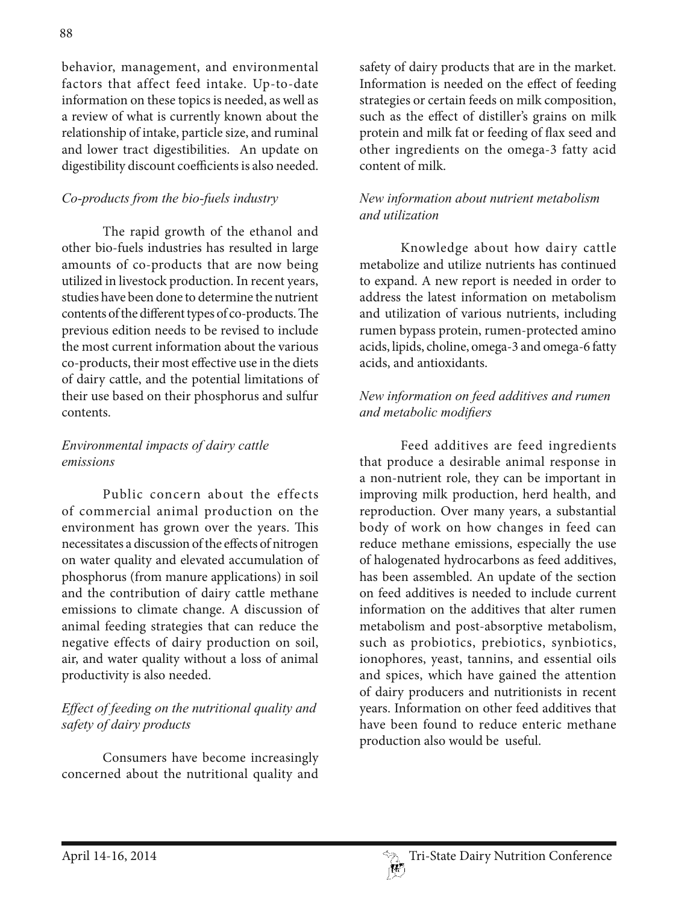behavior, management, and environmental factors that affect feed intake. Up-to-date information on these topics is needed, as well as a review of what is currently known about the relationship of intake, particle size, and ruminal and lower tract digestibilities. An update on digestibility discount coefficients is also needed.

# *Co-products from the bio-fuels industry*

The rapid growth of the ethanol and other bio-fuels industries has resulted in large amounts of co-products that are now being utilized in livestock production. In recent years, studies have been done to determine the nutrient contents of the different types of co-products. The previous edition needs to be revised to include the most current information about the various co-products, their most effective use in the diets of dairy cattle, and the potential limitations of their use based on their phosphorus and sulfur contents.

# *Environmental impacts of dairy cattle emissions*

Public concern about the effects of commercial animal production on the environment has grown over the years. This necessitates a discussion of the effects of nitrogen on water quality and elevated accumulation of phosphorus (from manure applications) in soil and the contribution of dairy cattle methane emissions to climate change. A discussion of animal feeding strategies that can reduce the negative effects of dairy production on soil, air, and water quality without a loss of animal productivity is also needed.

# *Effect of feeding on the nutritional quality and safety of dairy products*

Consumers have become increasingly concerned about the nutritional quality and

safety of dairy products that are in the market. Information is needed on the effect of feeding strategies or certain feeds on milk composition, such as the effect of distiller's grains on milk protein and milk fat or feeding of flax seed and other ingredients on the omega-3 fatty acid content of milk.

## *New information about nutrient metabolism and utilization*

Knowledge about how dairy cattle metabolize and utilize nutrients has continued to expand. A new report is needed in order to address the latest information on metabolism and utilization of various nutrients, including rumen bypass protein, rumen-protected amino acids, lipids, choline, omega-3 and omega-6 fatty acids, and antioxidants.

## *New information on feed additives and rumen*   $and$  *metabolic modifiers*

Feed additives are feed ingredients that produce a desirable animal response in a non-nutrient role, they can be important in improving milk production, herd health, and reproduction. Over many years, a substantial body of work on how changes in feed can reduce methane emissions, especially the use of halogenated hydrocarbons as feed additives, has been assembled. An update of the section on feed additives is needed to include current information on the additives that alter rumen metabolism and post-absorptive metabolism, such as probiotics, prebiotics, synbiotics, ionophores, yeast, tannins, and essential oils and spices, which have gained the attention of dairy producers and nutritionists in recent years. Information on other feed additives that have been found to reduce enteric methane production also would be useful.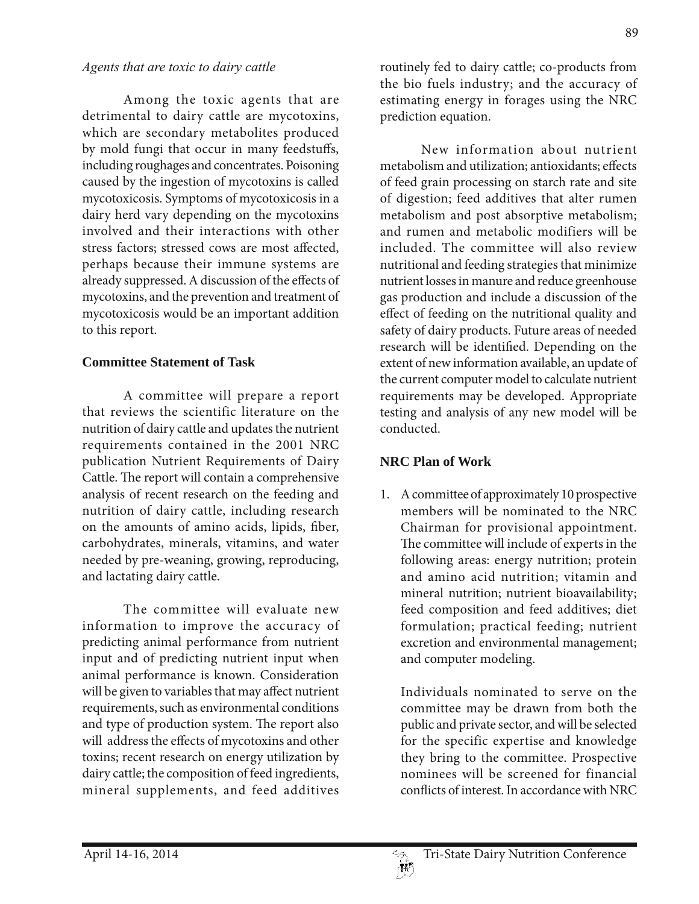#### *Agents that are toxic to dairy cattle*

Among the toxic agents that are detrimental to dairy cattle are mycotoxins, which are secondary metabolites produced by mold fungi that occur in many feedstuffs, including roughages and concentrates. Poisoning caused by the ingestion of mycotoxins is called mycotoxicosis. Symptoms of mycotoxicosis in a dairy herd vary depending on the mycotoxins involved and their interactions with other stress factors; stressed cows are most affected, perhaps because their immune systems are already suppressed. A discussion of the effects of mycotoxins, and the prevention and treatment of mycotoxicosis would be an important addition to this report.

#### **Committee Statement of Task**

A committee will prepare a report that reviews the scientific literature on the nutrition of dairy cattle and updates the nutrient requirements contained in the 2001 NRC publication Nutrient Requirements of Dairy Cattle. The report will contain a comprehensive analysis of recent research on the feeding and nutrition of dairy cattle, including research on the amounts of amino acids, lipids, fiber, carbohydrates, minerals, vitamins, and water needed by pre-weaning, growing, reproducing, and lactating dairy cattle.

The committee will evaluate new information to improve the accuracy of predicting animal performance from nutrient input and of predicting nutrient input when animal performance is known. Consideration will be given to variables that may affect nutrient requirements, such as environmental conditions and type of production system. The report also will address the effects of mycotoxins and other toxins; recent research on energy utilization by dairy cattle; the composition of feed ingredients, mineral supplements, and feed additives

routinely fed to dairy cattle; co-products from the bio fuels industry; and the accuracy of estimating energy in forages using the NRC prediction equation.

New information about nutrient metabolism and utilization; antioxidants; effects of feed grain processing on starch rate and site of digestion; feed additives that alter rumen metabolism and post absorptive metabolism; and rumen and metabolic modifiers will be included. The committee will also review nutritional and feeding strategies that minimize nutrient losses in manure and reduce greenhouse gas production and include a discussion of the effect of feeding on the nutritional quality and safety of dairy products. Future areas of needed research will be identified. Depending on the extent of new information available, an update of the current computer model to calculate nutrient requirements may be developed. Appropriate testing and analysis of any new model will be conducted.

# **NRC Plan of Work**

1. A committee of approximately 10 prospective members will be nominated to the NRC Chairman for provisional appointment. The committee will include of experts in the following areas: energy nutrition; protein and amino acid nutrition; vitamin and mineral nutrition; nutrient bioavailability; feed composition and feed additives; diet formulation; practical feeding; nutrient excretion and environmental management; and computer modeling.

 Individuals nominated to serve on the committee may be drawn from both the public and private sector, and will be selected for the specific expertise and knowledge they bring to the committee. Prospective nominees will be screened for financial conflicts of interest. In accordance with NRC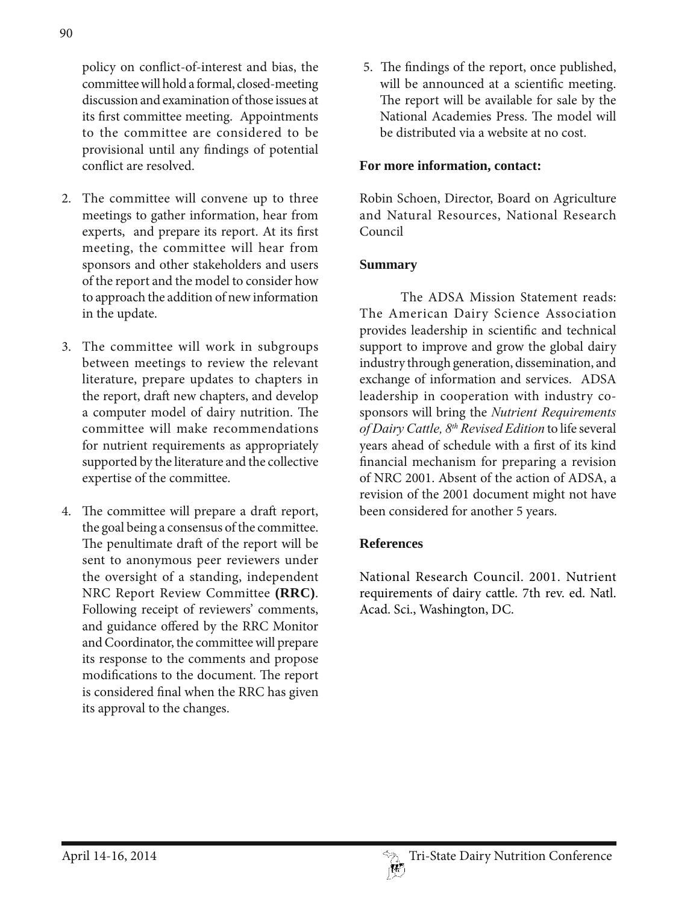policy on conflict-of-interest and bias, the committee will hold a formal, closed-meeting discussion and examination of those issues at its first committee meeting. Appointments to the committee are considered to be provisional until any findings of potential conflict are resolved.

- 2. The committee will convene up to three meetings to gather information, hear from experts, and prepare its report. At its first meeting, the committee will hear from sponsors and other stakeholders and users of the report and the model to consider how to approach the addition of new information in the update.
- 3. The committee will work in subgroups between meetings to review the relevant literature, prepare updates to chapters in the report, draft new chapters, and develop a computer model of dairy nutrition. The committee will make recommendations for nutrient requirements as appropriately supported by the literature and the collective expertise of the committee.
- 4. The committee will prepare a draft report, the goal being a consensus of the committee. The penultimate draft of the report will be sent to anonymous peer reviewers under the oversight of a standing, independent NRC Report Review Committee **(RRC)**. Following receipt of reviewers' comments, and guidance offered by the RRC Monitor and Coordinator, the committee will prepare its response to the comments and propose modifications to the document. The report is considered final when the RRC has given its approval to the changes.

 5. The findings of the report, once published, will be announced at a scientific meeting. The report will be available for sale by the National Academies Press. The model will be distributed via a website at no cost.

### **For more information, contact:**

Robin Schoen, Director, Board on Agriculture and Natural Resources, National Research Council

#### **Summary**

The ADSA Mission Statement reads: The American Dairy Science Association provides leadership in scientific and technical support to improve and grow the global dairy industry through generation, dissemination, and exchange of information and services. ADSA leadership in cooperation with industry cosponsors will bring the *Nutrient Requirements of Dairy Cattle, 8th Revised Edition* to life several years ahead of schedule with a first of its kind financial mechanism for preparing a revision of NRC 2001. Absent of the action of ADSA, a revision of the 2001 document might not have been considered for another 5 years.

## **References**

National Research Council. 2001. Nutrient requirements of dairy cattle. 7th rev. ed. Natl. Acad. Sci., Washington, DC.